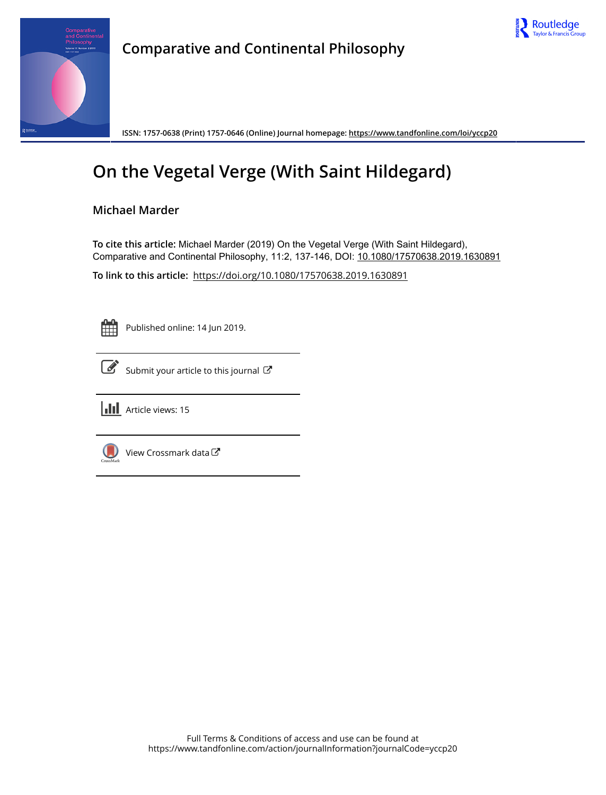



**Comparative and Continental Philosophy**

**ISSN: 1757-0638 (Print) 1757-0646 (Online) Journal homepage:<https://www.tandfonline.com/loi/yccp20>**

# **On the Vegetal Verge (With Saint Hildegard)**

# **Michael Marder**

**To cite this article:** Michael Marder (2019) On the Vegetal Verge (With Saint Hildegard), Comparative and Continental Philosophy, 11:2, 137-146, DOI: [10.1080/17570638.2019.1630891](https://www.tandfonline.com/action/showCitFormats?doi=10.1080/17570638.2019.1630891)

**To link to this article:** <https://doi.org/10.1080/17570638.2019.1630891>



Published online: 14 Jun 2019.



 $\overrightarrow{S}$  [Submit your article to this journal](https://www.tandfonline.com/action/authorSubmission?journalCode=yccp20&show=instructions)  $\overrightarrow{S}$ 



[View Crossmark data](http://crossmark.crossref.org/dialog/?doi=10.1080/17570638.2019.1630891&domain=pdf&date_stamp=2019-06-14)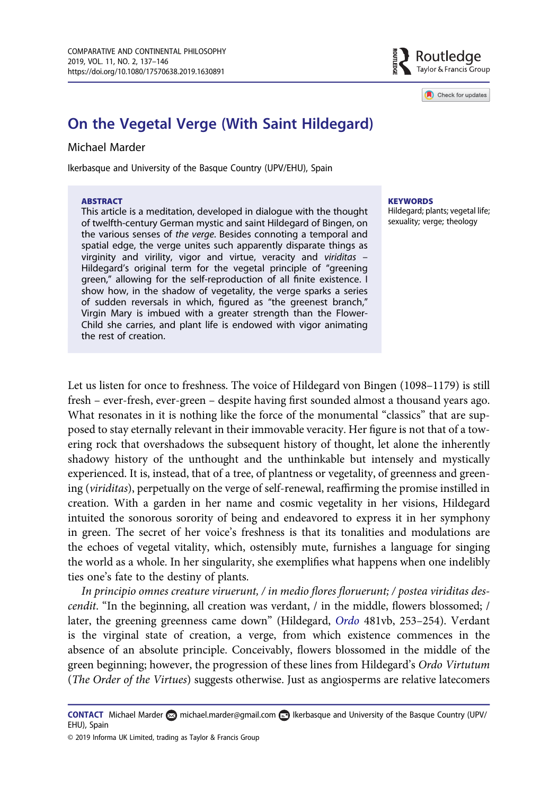

Check for updates

# <span id="page-1-0"></span>On the Vegetal Verge (With Saint Hildegard)

## Michael Marder

Ikerbasque and University of the Basque Country (UPV/EHU), Spain

#### **ABSTRACT**

This article is a meditation, developed in dialogue with the thought of twelfth-century German mystic and saint Hildegard of Bingen, on the various senses of the verge. Besides connoting a temporal and spatial edge, the verge unites such apparently disparate things as virginity and virility, vigor and virtue, veracity and viriditas – Hildegard's original term for the vegetal principle of "greening green," allowing for the self-reproduction of all finite existence. I show how, in the shadow of vegetality, the verge sparks a series of sudden reversals in which, figured as "the greenest branch," Virgin Mary is imbued with a greater strength than the Flower-Child she carries, and plant life is endowed with vigor animating the rest of creation.

#### **KEYWORDS**

Hildegard; plants; vegetal life; sexuality; verge; theology

Let us listen for once to freshness. The voice of Hildegard von Bingen (1098–1179) is still fresh – ever-fresh, ever-green – despite having first sounded almost a thousand years ago. What resonates in it is nothing like the force of the monumental "classics" that are supposed to stay eternally relevant in their immovable veracity. Her figure is not that of a towering rock that overshadows the subsequent history of thought, let alone the inherently shadowy history of the unthought and the unthinkable but intensely and mystically experienced. It is, instead, that of a tree, of plantness or vegetality, of greenness and greening (viriditas), perpetually on the verge of self-renewal, reaffirming the promise instilled in creation. With a garden in her name and cosmic vegetality in her visions, Hildegard intuited the sonorous sorority of being and endeavored to express it in her symphony in green. The secret of her voice's freshness is that its tonalities and modulations are the echoes of vegetal vitality, which, ostensibly mute, furnishes a language for singing the world as a whole. In her singularity, she exemplifies what happens when one indelibly ties one's fate to the destiny of plants.

In principio omnes creature viruerunt, / in medio flores floruerunt; / postea viriditas descendit. "In the beginning, all creation was verdant, / in the middle, flowers blossomed; / later, the greening greenness came down" (Hildegard, [Ordo](#page-10-0) 481vb, 253–254). Verdant is the virginal state of creation, a verge, from which existence commences in the absence of an absolute principle. Conceivably, flowers blossomed in the middle of the green beginning; however, the progression of these lines from Hildegard's Ordo Virtutum (The Order of the Virtues) suggests otherwise. Just as angiosperms are relative latecomers

**CONTACT** Michael Marder  $\odot$  [michael.marder@gmail.com](mailto:michael.marder@gmail.com)  $\odot$  lkerbasque and University of the Basque Country (UPV/ EHU), Spain

<sup>© 2019</sup> Informa UK Limited, trading as Taylor & Francis Group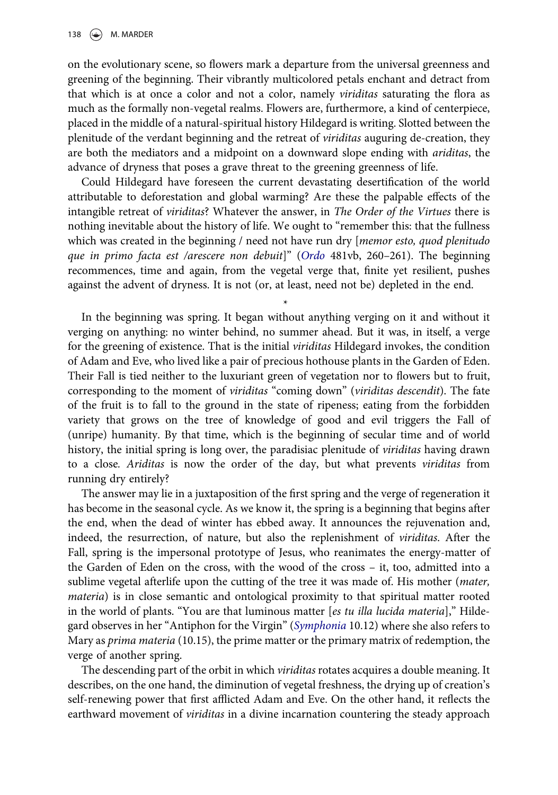<span id="page-2-0"></span>on the evolutionary scene, so flowers mark a departure from the universal greenness and greening of the beginning. Their vibrantly multicolored petals enchant and detract from that which is at once a color and not a color, namely viriditas saturating the flora as much as the formally non-vegetal realms. Flowers are, furthermore, a kind of centerpiece, placed in the middle of a natural-spiritual history Hildegard is writing. Slotted between the plenitude of the verdant beginning and the retreat of viriditas auguring de-creation, they are both the mediators and a midpoint on a downward slope ending with ariditas, the advance of dryness that poses a grave threat to the greening greenness of life.

Could Hildegard have foreseen the current devastating desertification of the world attributable to deforestation and global warming? Are these the palpable effects of the intangible retreat of viriditas? Whatever the answer, in The Order of the Virtues there is nothing inevitable about the history of life. We ought to "remember this: that the fullness which was created in the beginning / need not have run dry [*memor esto, quod plenitudo* que in primo facta est /arescere non debuit]" ([Ordo](#page-10-0) 481vb, 260–261). The beginning recommences, time and again, from the vegetal verge that, finite yet resilient, pushes against the advent of dryness. It is not (or, at least, need not be) depleted in the end.

\*

In the beginning was spring. It began without anything verging on it and without it verging on anything: no winter behind, no summer ahead. But it was, in itself, a verge for the greening of existence. That is the initial viriditas Hildegard invokes, the condition of Adam and Eve, who lived like a pair of precious hothouse plants in the Garden of Eden. Their Fall is tied neither to the luxuriant green of vegetation nor to flowers but to fruit, corresponding to the moment of viriditas "coming down" (viriditas descendit). The fate of the fruit is to fall to the ground in the state of ripeness; eating from the forbidden variety that grows on the tree of knowledge of good and evil triggers the Fall of (unripe) humanity. By that time, which is the beginning of secular time and of world history, the initial spring is long over, the paradisiac plenitude of *viriditas* having drawn to a close. Ariditas is now the order of the day, but what prevents viriditas from running dry entirely?

The answer may lie in a juxtaposition of the first spring and the verge of regeneration it has become in the seasonal cycle. As we know it, the spring is a beginning that begins after the end, when the dead of winter has ebbed away. It announces the rejuvenation and, indeed, the resurrection, of nature, but also the replenishment of viriditas. After the Fall, spring is the impersonal prototype of Jesus, who reanimates the energy-matter of the Garden of Eden on the cross, with the wood of the cross – it, too, admitted into a sublime vegetal afterlife upon the cutting of the tree it was made of. His mother (*mater*, materia) is in close semantic and ontological proximity to that spiritual matter rooted in the world of plants. "You are that luminous matter [es tu illa lucida materia]," Hildegard observes in her "Antiphon for the Virgin" ([Symphonia](#page-10-0) 10.12) where she also refers to Mary as prima materia (10.15), the prime matter or the primary matrix of redemption, the verge of another spring.

The descending part of the orbit in which *viriditas* rotates acquires a double meaning. It describes, on the one hand, the diminution of vegetal freshness, the drying up of creation's self-renewing power that first afflicted Adam and Eve. On the other hand, it reflects the earthward movement of *viriditas* in a divine incarnation countering the steady approach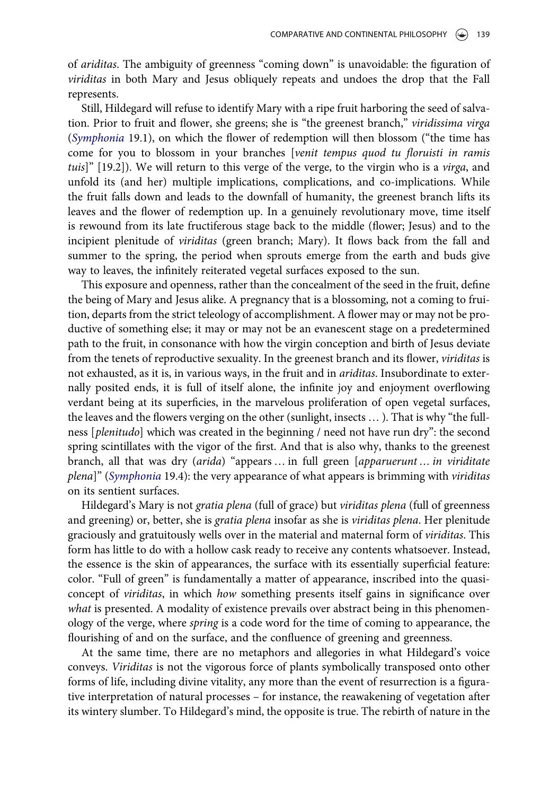of ariditas. The ambiguity of greenness "coming down" is unavoidable: the figuration of viriditas in both Mary and Jesus obliquely repeats and undoes the drop that the Fall represents.

Still, Hildegard will refuse to identify Mary with a ripe fruit harboring the seed of salvation. Prior to fruit and flower, she greens; she is "the greenest branch," viridissima virga ([Symphonia](#page-10-0) 19.1), on which the flower of redemption will then blossom ("the time has come for you to blossom in your branches [venit tempus quod tu floruisti in ramis tuis]" [19.2]). We will return to this verge of the verge, to the virgin who is a *virga*, and unfold its (and her) multiple implications, complications, and co-implications. While the fruit falls down and leads to the downfall of humanity, the greenest branch lifts its leaves and the flower of redemption up. In a genuinely revolutionary move, time itself is rewound from its late fructiferous stage back to the middle (flower; Jesus) and to the incipient plenitude of viriditas (green branch; Mary). It flows back from the fall and summer to the spring, the period when sprouts emerge from the earth and buds give way to leaves, the infinitely reiterated vegetal surfaces exposed to the sun.

This exposure and openness, rather than the concealment of the seed in the fruit, define the being of Mary and Jesus alike. A pregnancy that is a blossoming, not a coming to fruition, departs from the strict teleology of accomplishment. A flower may or may not be productive of something else; it may or may not be an evanescent stage on a predetermined path to the fruit, in consonance with how the virgin conception and birth of Jesus deviate from the tenets of reproductive sexuality. In the greenest branch and its flower, viriditas is not exhausted, as it is, in various ways, in the fruit and in ariditas. Insubordinate to externally posited ends, it is full of itself alone, the infinite joy and enjoyment overflowing verdant being at its superficies, in the marvelous proliferation of open vegetal surfaces, the leaves and the flowers verging on the other (sunlight, insects … ). That is why "the fullness [plenitudo] which was created in the beginning / need not have run dry": the second spring scintillates with the vigor of the first. And that is also why, thanks to the greenest branch, all that was dry (arida) "appears ... in full green [apparuerunt ... in viriditate plena]" ([Symphonia](#page-10-0) 19.4): the very appearance of what appears is brimming with viriditas on its sentient surfaces.

Hildegard's Mary is not gratia plena (full of grace) but viriditas plena (full of greenness and greening) or, better, she is gratia plena insofar as she is viriditas plena. Her plenitude graciously and gratuitously wells over in the material and maternal form of viriditas. This form has little to do with a hollow cask ready to receive any contents whatsoever. Instead, the essence is the skin of appearances, the surface with its essentially superficial feature: color. "Full of green" is fundamentally a matter of appearance, inscribed into the quasiconcept of viriditas, in which how something presents itself gains in significance over what is presented. A modality of existence prevails over abstract being in this phenomenology of the verge, where spring is a code word for the time of coming to appearance, the flourishing of and on the surface, and the confluence of greening and greenness.

At the same time, there are no metaphors and allegories in what Hildegard's voice conveys. Viriditas is not the vigorous force of plants symbolically transposed onto other forms of life, including divine vitality, any more than the event of resurrection is a figurative interpretation of natural processes – for instance, the reawakening of vegetation after its wintery slumber. To Hildegard's mind, the opposite is true. The rebirth of nature in the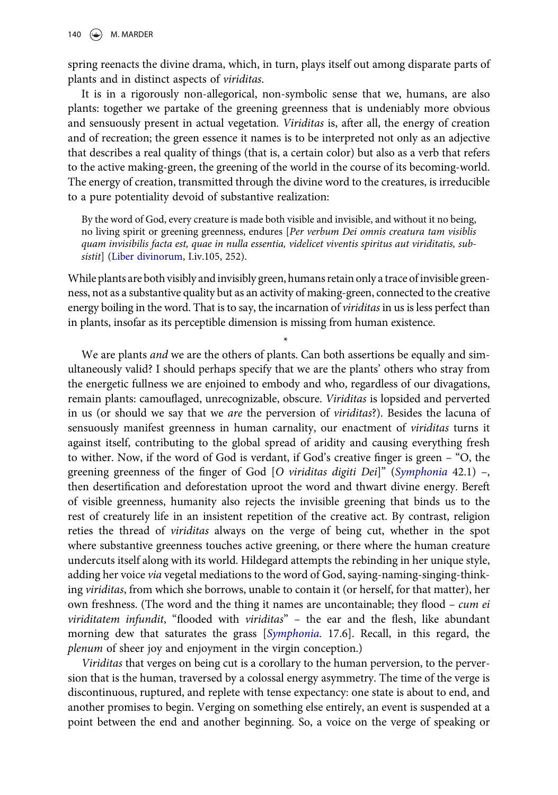<span id="page-4-0"></span>spring reenacts the divine drama, which, in turn, plays itself out among disparate parts of plants and in distinct aspects of viriditas.

It is in a rigorously non-allegorical, non-symbolic sense that we, humans, are also plants: together we partake of the greening greenness that is undeniably more obvious and sensuously present in actual vegetation. Viriditas is, after all, the energy of creation and of recreation; the green essence it names is to be interpreted not only as an adjective that describes a real quality of things (that is, a certain color) but also as a verb that refers to the active making-green, the greening of the world in the course of its becoming-world. The energy of creation, transmitted through the divine word to the creatures, is irreducible to a pure potentiality devoid of substantive realization:

By the word of God, every creature is made both visible and invisible, and without it no being, no living spirit or greening greenness, endures [Per verbum Dei omnis creatura tam visiblis quam invisibilis facta est, quae in nulla essentia, videlicet viventis spiritus aut viriditatis, sub-sistit] ([Liber divinorum,](#page-10-0) I.iv.105, 252).

While plants are both visibly and invisibly green, humans retain only a trace of invisible greenness, not as a substantive quality but as an activity of making-green, connected to the creative energy boiling in the word. That is to say, the incarnation of viriditas in us is less perfect than in plants, insofar as its perceptible dimension is missing from human existence.

\* We are plants *and* we are the others of plants. Can both assertions be equally and simultaneously valid? I should perhaps specify that we are the plants' others who stray from the energetic fullness we are enjoined to embody and who, regardless of our divagations, remain plants: camouflaged, unrecognizable, obscure. Viriditas is lopsided and perverted in us (or should we say that we are the perversion of viriditas?). Besides the lacuna of sensuously manifest greenness in human carnality, our enactment of viriditas turns it against itself, contributing to the global spread of aridity and causing everything fresh to wither. Now, if the word of God is verdant, if God's creative finger is green – "O, the greening greenness of the finger of God  $[O \; viriditas \; digiti \; Dei]$ " ([Symphonia](#page-10-0) 42.1) –, then desertification and deforestation uproot the word and thwart divine energy. Bereft of visible greenness, humanity also rejects the invisible greening that binds us to the rest of creaturely life in an insistent repetition of the creative act. By contrast, religion reties the thread of viriditas always on the verge of being cut, whether in the spot where substantive greenness touches active greening, or there where the human creature undercuts itself along with its world. Hildegard attempts the rebinding in her unique style, adding her voice via vegetal mediations to the word of God, saying-naming-singing-thinking viriditas, from which she borrows, unable to contain it (or herself, for that matter), her own freshness. (The word and the thing it names are uncontainable; they flood – *cum ei* viriditatem infundit, "flooded with viriditas" – the ear and the flesh, like abundant morning dew that saturates the grass [[Symphonia](#page-10-0). 17.6]. Recall, in this regard, the plenum of sheer joy and enjoyment in the virgin conception.)

Viriditas that verges on being cut is a corollary to the human perversion, to the perversion that is the human, traversed by a colossal energy asymmetry. The time of the verge is discontinuous, ruptured, and replete with tense expectancy: one state is about to end, and another promises to begin. Verging on something else entirely, an event is suspended at a point between the end and another beginning. So, a voice on the verge of speaking or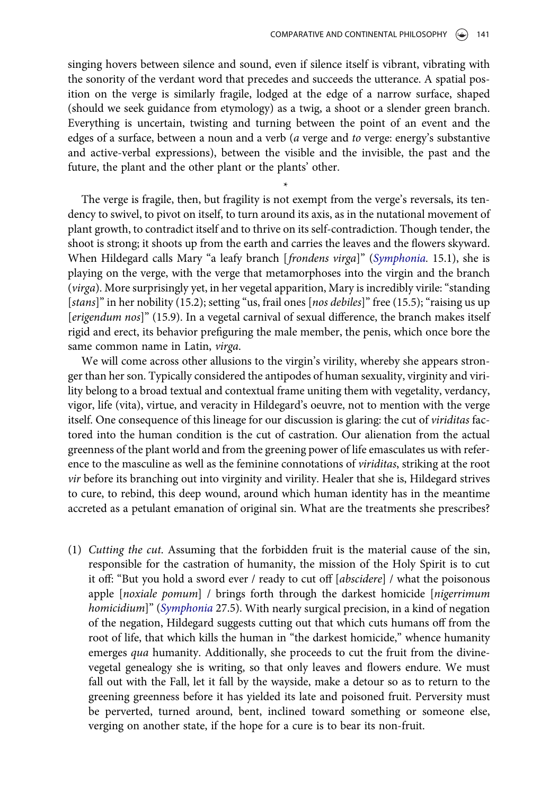singing hovers between silence and sound, even if silence itself is vibrant, vibrating with the sonority of the verdant word that precedes and succeeds the utterance. A spatial position on the verge is similarly fragile, lodged at the edge of a narrow surface, shaped (should we seek guidance from etymology) as a twig, a shoot or a slender green branch. Everything is uncertain, twisting and turning between the point of an event and the edges of a surface, between a noun and a verb ( $a$  verge and to verge: energy's substantive and active-verbal expressions), between the visible and the invisible, the past and the future, the plant and the other plant or the plants' other.

\* The verge is fragile, then, but fragility is not exempt from the verge's reversals, its tendency to swivel, to pivot on itself, to turn around its axis, as in the nutational movement of plant growth, to contradict itself and to thrive on its self-contradiction. Though tender, the shoot is strong; it shoots up from the earth and carries the leaves and the flowers skyward. When Hildegard calls Mary "a leafy branch [frondens virga]" ([Symphonia](#page-10-0). 15.1), she is playing on the verge, with the verge that metamorphoses into the virgin and the branch (virga). More surprisingly yet, in her vegetal apparition, Mary is incredibly virile: "standing [stans]" in her nobility (15.2); setting "us, frail ones [nos debiles]" free (15.5); "raising us up [erigendum nos]" (15.9). In a vegetal carnival of sexual difference, the branch makes itself rigid and erect, its behavior prefiguring the male member, the penis, which once bore the same common name in Latin, virga.

We will come across other allusions to the virgin's virility, whereby she appears stronger than her son. Typically considered the antipodes of human sexuality, virginity and virility belong to a broad textual and contextual frame uniting them with vegetality, verdancy, vigor, life (vita), virtue, and veracity in Hildegard's oeuvre, not to mention with the verge itself. One consequence of this lineage for our discussion is glaring: the cut of viriditas factored into the human condition is the cut of castration. Our alienation from the actual greenness of the plant world and from the greening power of life emasculates us with reference to the masculine as well as the feminine connotations of *viriditas*, striking at the root vir before its branching out into virginity and virility. Healer that she is, Hildegard strives to cure, to rebind, this deep wound, around which human identity has in the meantime accreted as a petulant emanation of original sin. What are the treatments she prescribes?

(1) Cutting the cut. Assuming that the forbidden fruit is the material cause of the sin, responsible for the castration of humanity, the mission of the Holy Spirit is to cut it off: "But you hold a sword ever / ready to cut off [abscidere] / what the poisonous apple [noxiale pomum] / brings forth through the darkest homicide [nigerrimum] homicidium]" ([Symphonia](#page-10-0) 27.5). With nearly surgical precision, in a kind of negation of the negation, Hildegard suggests cutting out that which cuts humans off from the root of life, that which kills the human in "the darkest homicide," whence humanity emerges *qua* humanity. Additionally, she proceeds to cut the fruit from the divinevegetal genealogy she is writing, so that only leaves and flowers endure. We must fall out with the Fall, let it fall by the wayside, make a detour so as to return to the greening greenness before it has yielded its late and poisoned fruit. Perversity must be perverted, turned around, bent, inclined toward something or someone else, verging on another state, if the hope for a cure is to bear its non-fruit.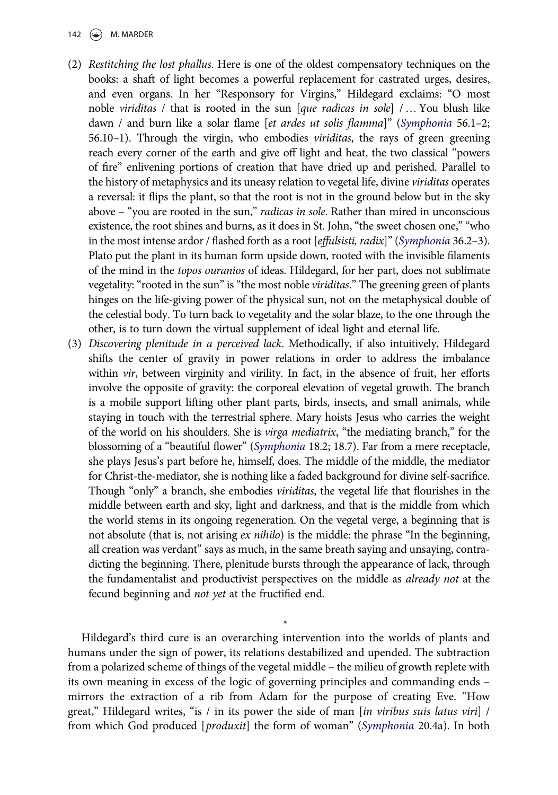- 142 (a) M. MARDER
- (2) Restitching the lost phallus. Here is one of the oldest compensatory techniques on the books: a shaft of light becomes a powerful replacement for castrated urges, desires, and even organs. In her "Responsory for Virgins," Hildegard exclaims: "O most noble viriditas / that is rooted in the sun [que radicas in sole] / … You blush like dawn / and burn like a solar flame [et ardes ut solis flamma]" ([Symphonia](#page-10-0) 56.1-2; 56.10–1). Through the virgin, who embodies viriditas, the rays of green greening reach every corner of the earth and give off light and heat, the two classical "powers of fire" enlivening portions of creation that have dried up and perished. Parallel to the history of metaphysics and its uneasy relation to vegetal life, divine *viriditas* operates a reversal: it flips the plant, so that the root is not in the ground below but in the sky above - "you are rooted in the sun," *radicas in sole*. Rather than mired in unconscious existence, the root shines and burns, as it does in St. John, "the sweet chosen one," "who in the most intense ardor / flashed forth as a root [effulsisti, radix]" ([Symphonia](#page-10-0) 36.2–3). Plato put the plant in its human form upside down, rooted with the invisible filaments of the mind in the topos ouranios of ideas. Hildegard, for her part, does not sublimate vegetality: "rooted in the sun" is "the most noble viriditas." The greening green of plants hinges on the life-giving power of the physical sun, not on the metaphysical double of the celestial body. To turn back to vegetality and the solar blaze, to the one through the other, is to turn down the virtual supplement of ideal light and eternal life.
- (3) Discovering plenitude in a perceived lack. Methodically, if also intuitively, Hildegard shifts the center of gravity in power relations in order to address the imbalance within  $vir$ , between virginity and virility. In fact, in the absence of fruit, her efforts involve the opposite of gravity: the corporeal elevation of vegetal growth. The branch is a mobile support lifting other plant parts, birds, insects, and small animals, while staying in touch with the terrestrial sphere. Mary hoists Jesus who carries the weight of the world on his shoulders. She is *virga mediatrix*, "the mediating branch," for the blossoming of a "beautiful flower" ([Symphonia](#page-10-0) 18.2; 18.7). Far from a mere receptacle, she plays Jesus's part before he, himself, does. The middle of the middle, the mediator for Christ-the-mediator, she is nothing like a faded background for divine self-sacrifice. Though "only" a branch, she embodies viriditas, the vegetal life that flourishes in the middle between earth and sky, light and darkness, and that is the middle from which the world stems in its ongoing regeneration. On the vegetal verge, a beginning that is not absolute (that is, not arising  $ex$  *nihilo*) is the middle: the phrase "In the beginning, all creation was verdant" says as much, in the same breath saying and unsaying, contradicting the beginning. There, plenitude bursts through the appearance of lack, through the fundamentalist and productivist perspectives on the middle as *already not* at the fecund beginning and not yet at the fructified end.

Hildegard's third cure is an overarching intervention into the worlds of plants and humans under the sign of power, its relations destabilized and upended. The subtraction from a polarized scheme of things of the vegetal middle – the milieu of growth replete with its own meaning in excess of the logic of governing principles and commanding ends – mirrors the extraction of a rib from Adam for the purpose of creating Eve. "How great," Hildegard writes, "is / in its power the side of man  $\left| in \right|$  viribus suis latus viri $\left| / \right|$ from which God produced [produxit] the form of woman" ([Symphonia](#page-10-0) 20.4a). In both

\*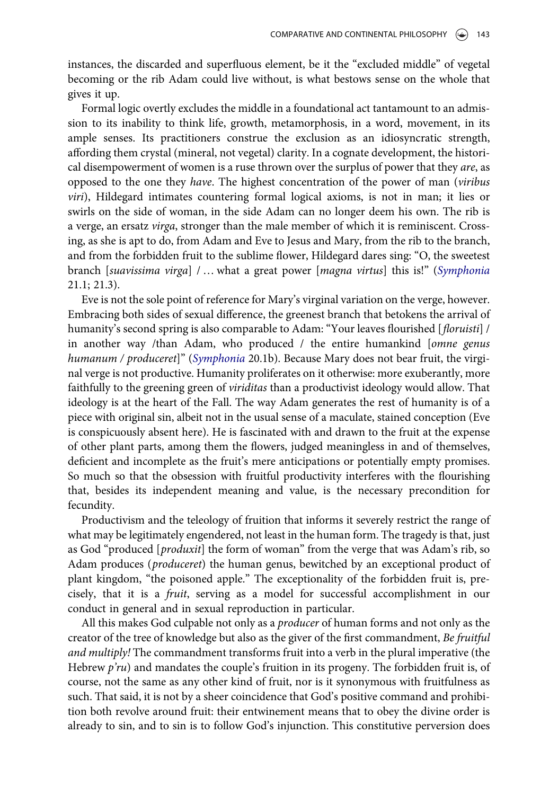instances, the discarded and superfluous element, be it the "excluded middle" of vegetal becoming or the rib Adam could live without, is what bestows sense on the whole that gives it up.

Formal logic overtly excludes the middle in a foundational act tantamount to an admission to its inability to think life, growth, metamorphosis, in a word, movement, in its ample senses. Its practitioners construe the exclusion as an idiosyncratic strength, affording them crystal (mineral, not vegetal) clarity. In a cognate development, the historical disempowerment of women is a ruse thrown over the surplus of power that they are, as opposed to the one they have. The highest concentration of the power of man (viribus viri), Hildegard intimates countering formal logical axioms, is not in man; it lies or swirls on the side of woman, in the side Adam can no longer deem his own. The rib is a verge, an ersatz virga, stronger than the male member of which it is reminiscent. Crossing, as she is apt to do, from Adam and Eve to Jesus and Mary, from the rib to the branch, and from the forbidden fruit to the sublime flower, Hildegard dares sing: "O, the sweetest branch [suavissima virga] / … what a great power [magna virtus] this is!" ([Symphonia](#page-10-0) 21.1; 21.3).

Eve is not the sole point of reference for Mary's virginal variation on the verge, however. Embracing both sides of sexual difference, the greenest branch that betokens the arrival of humanity's second spring is also comparable to Adam: "Your leaves flourished [*floruisti*] / in another way /than Adam, who produced / the entire humankind [omne genus humanum / produceret]" ([Symphonia](#page-10-0) 20.1b). Because Mary does not bear fruit, the virginal verge is not productive. Humanity proliferates on it otherwise: more exuberantly, more faithfully to the greening green of viriditas than a productivist ideology would allow. That ideology is at the heart of the Fall. The way Adam generates the rest of humanity is of a piece with original sin, albeit not in the usual sense of a maculate, stained conception (Eve is conspicuously absent here). He is fascinated with and drawn to the fruit at the expense of other plant parts, among them the flowers, judged meaningless in and of themselves, deficient and incomplete as the fruit's mere anticipations or potentially empty promises. So much so that the obsession with fruitful productivity interferes with the flourishing that, besides its independent meaning and value, is the necessary precondition for fecundity.

Productivism and the teleology of fruition that informs it severely restrict the range of what may be legitimately engendered, not least in the human form. The tragedy is that, just as God "produced [produxit] the form of woman" from the verge that was Adam's rib, so Adam produces (produceret) the human genus, bewitched by an exceptional product of plant kingdom, "the poisoned apple." The exceptionality of the forbidden fruit is, precisely, that it is a fruit, serving as a model for successful accomplishment in our conduct in general and in sexual reproduction in particular.

All this makes God culpable not only as a producer of human forms and not only as the creator of the tree of knowledge but also as the giver of the first commandment, Be fruitful and multiply! The commandment transforms fruit into a verb in the plural imperative (the Hebrew p'ru) and mandates the couple's fruition in its progeny. The forbidden fruit is, of course, not the same as any other kind of fruit, nor is it synonymous with fruitfulness as such. That said, it is not by a sheer coincidence that God's positive command and prohibition both revolve around fruit: their entwinement means that to obey the divine order is already to sin, and to sin is to follow God's injunction. This constitutive perversion does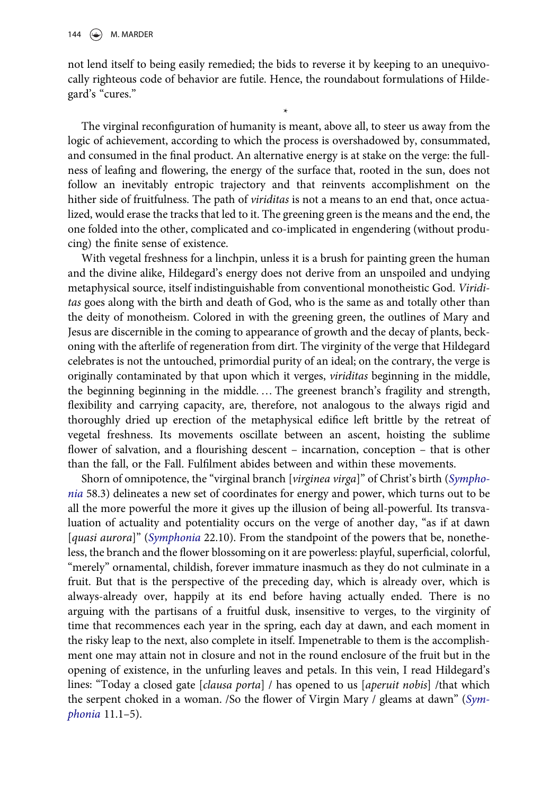not lend itself to being easily remedied; the bids to reverse it by keeping to an unequivocally righteous code of behavior are futile. Hence, the roundabout formulations of Hildegard's "cures."

\* The virginal reconfiguration of humanity is meant, above all, to steer us away from the logic of achievement, according to which the process is overshadowed by, consummated, and consumed in the final product. An alternative energy is at stake on the verge: the fullness of leafing and flowering, the energy of the surface that, rooted in the sun, does not follow an inevitably entropic trajectory and that reinvents accomplishment on the hither side of fruitfulness. The path of *viriditas* is not a means to an end that, once actualized, would erase the tracks that led to it. The greening green is the means and the end, the one folded into the other, complicated and co-implicated in engendering (without producing) the finite sense of existence.

With vegetal freshness for a linchpin, unless it is a brush for painting green the human and the divine alike, Hildegard's energy does not derive from an unspoiled and undying metaphysical source, itself indistinguishable from conventional monotheistic God. Viriditas goes along with the birth and death of God, who is the same as and totally other than the deity of monotheism. Colored in with the greening green, the outlines of Mary and Jesus are discernible in the coming to appearance of growth and the decay of plants, beckoning with the afterlife of regeneration from dirt. The virginity of the verge that Hildegard celebrates is not the untouched, primordial purity of an ideal; on the contrary, the verge is originally contaminated by that upon which it verges, viriditas beginning in the middle, the beginning beginning in the middle. … The greenest branch's fragility and strength, flexibility and carrying capacity, are, therefore, not analogous to the always rigid and thoroughly dried up erection of the metaphysical edifice left brittle by the retreat of vegetal freshness. Its movements oscillate between an ascent, hoisting the sublime flower of salvation, and a flourishing descent – incarnation, conception – that is other than the fall, or the Fall. Fulfilment abides between and within these movements.

Shorn of omnipotence, the "virginal branch [virginea virga]" of Christ's birth ([Sympho](#page-10-0)[nia](#page-10-0) 58.3) delineates a new set of coordinates for energy and power, which turns out to be all the more powerful the more it gives up the illusion of being all-powerful. Its transvaluation of actuality and potentiality occurs on the verge of another day, "as if at dawn [quasi aurora]" ([Symphonia](#page-10-0) 22.10). From the standpoint of the powers that be, nonetheless, the branch and the flower blossoming on it are powerless: playful, superficial, colorful, "merely" ornamental, childish, forever immature inasmuch as they do not culminate in a fruit. But that is the perspective of the preceding day, which is already over, which is always-already over, happily at its end before having actually ended. There is no arguing with the partisans of a fruitful dusk, insensitive to verges, to the virginity of time that recommences each year in the spring, each day at dawn, and each moment in the risky leap to the next, also complete in itself. Impenetrable to them is the accomplishment one may attain not in closure and not in the round enclosure of the fruit but in the opening of existence, in the unfurling leaves and petals. In this vein, I read Hildegard's lines: "Today a closed gate [clausa porta] / has opened to us [aperuit nobis] /that which the serpent choked in a woman. /So the flower of Virgin Mary / gleams at dawn" ([Sym](#page-10-0)[phonia](#page-10-0) 11.1–5).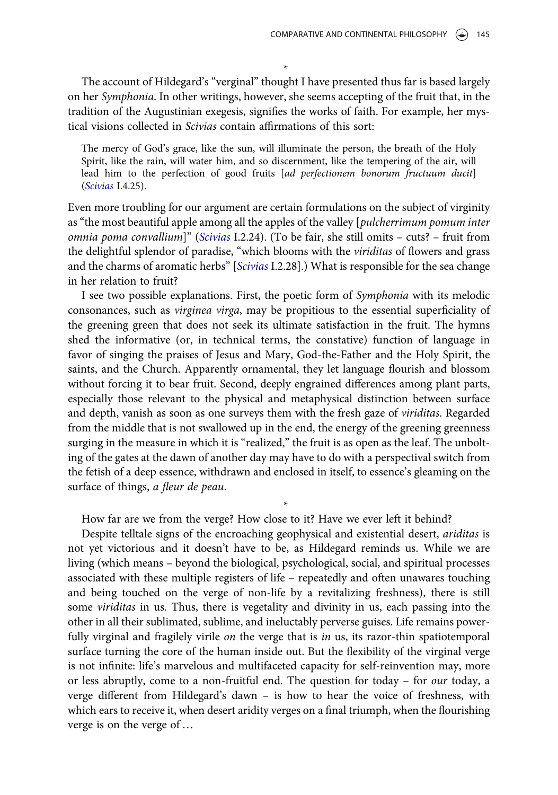<span id="page-9-0"></span>The account of Hildegard's "verginal" thought I have presented thus far is based largely on her Symphonia. In other writings, however, she seems accepting of the fruit that, in the tradition of the Augustinian exegesis, signifies the works of faith. For example, her mystical visions collected in Scivias contain affirmations of this sort:

\*

The mercy of God's grace, like the sun, will illuminate the person, the breath of the Holy Spirit, like the rain, will water him, and so discernment, like the tempering of the air, will lead him to the perfection of good fruits [ad perfectionem bonorum fructuum ducit] ([Scivias](#page-10-0) I.4.25).

Even more troubling for our argument are certain formulations on the subject of virginity as "the most beautiful apple among all the apples of the valley [pulcherrimum pomum inter omnia poma convallium]" ([Scivias](#page-10-0) I.2.24). (To be fair, she still omits – cuts? – fruit from the delightful splendor of paradise, "which blooms with the viriditas of flowers and grass and the charms of aromatic herbs" [[Scivias](#page-10-0) I.2.28].) What is responsible for the sea change in her relation to fruit?

I see two possible explanations. First, the poetic form of Symphonia with its melodic consonances, such as virginea virga, may be propitious to the essential superficiality of the greening green that does not seek its ultimate satisfaction in the fruit. The hymns shed the informative (or, in technical terms, the constative) function of language in favor of singing the praises of Jesus and Mary, God-the-Father and the Holy Spirit, the saints, and the Church. Apparently ornamental, they let language flourish and blossom without forcing it to bear fruit. Second, deeply engrained differences among plant parts, especially those relevant to the physical and metaphysical distinction between surface and depth, vanish as soon as one surveys them with the fresh gaze of viriditas. Regarded from the middle that is not swallowed up in the end, the energy of the greening greenness surging in the measure in which it is "realized," the fruit is as open as the leaf. The unbolting of the gates at the dawn of another day may have to do with a perspectival switch from the fetish of a deep essence, withdrawn and enclosed in itself, to essence's gleaming on the surface of things, a fleur de peau.

How far are we from the verge? How close to it? Have we ever left it behind?

\*

Despite telltale signs of the encroaching geophysical and existential desert, ariditas is not yet victorious and it doesn't have to be, as Hildegard reminds us. While we are living (which means – beyond the biological, psychological, social, and spiritual processes associated with these multiple registers of life – repeatedly and often unawares touching and being touched on the verge of non-life by a revitalizing freshness), there is still some viriditas in us. Thus, there is vegetality and divinity in us, each passing into the other in all their sublimated, sublime, and ineluctably perverse guises. Life remains powerfully virginal and fragilely virile  $\omega$  the verge that is *in* us, its razor-thin spatiotemporal surface turning the core of the human inside out. But the flexibility of the virginal verge is not infinite: life's marvelous and multifaceted capacity for self-reinvention may, more or less abruptly, come to a non-fruitful end. The question for today – for our today, a verge different from Hildegard's dawn – is how to hear the voice of freshness, with which ears to receive it, when desert aridity verges on a final triumph, when the flourishing verge is on the verge of …